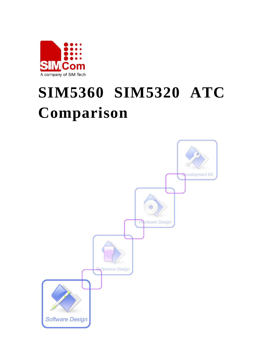

# **SIM5360 SIM5320 ATC Comparison**

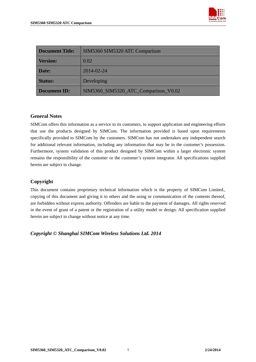

| <b>Document Title:</b> | SIM5360 SIM5320 ATC Comparison       |  |
|------------------------|--------------------------------------|--|
| <b>Version:</b>        | 0.02                                 |  |
| Date:                  | 2014-02-24                           |  |
| <b>Status:</b>         | Developing                           |  |
| <b>Document ID:</b>    | SIM5360_SIM5320_ATC_Comparison_V0.02 |  |

#### **General Notes**

SIMCom offers this information as a service to its customers, to support application and engineering efforts that use the products designed by SIMCom. The information provided is based upon requirements specifically provided to SIMCom by the customers. SIMCom has not undertaken any independent search for additional relevant information, including any information that may be in the customer's possession. Furthermore, system validation of this product designed by SIMCom within a larger electronic system remains the responsibility of the customer or the customer's system integrator. All specifications supplied herein are subject to change.

#### **Copyright**

This document contains proprietary technical information which is the property of SIMCom Limited., copying of this document and giving it to others and the using or communication of the contents thereof, are forbidden without express authority. Offenders are liable to the payment of damages. All rights reserved in the event of grant of a patent or the registration of a utility model or design. All specification supplied herein are subject to change without notice at any time.

*Copyright © Shanghai SIMCom Wireless Solutions Ltd. 2014*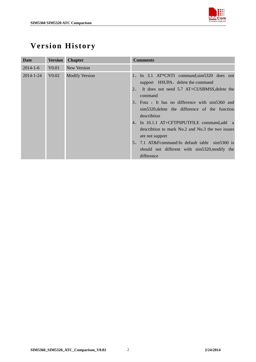

# <span id="page-2-0"></span>**Version History**

| Date            | <b>Version</b>    | <b>Chapter</b>        | <b>Comments</b>                                                                                                                                                                                                                                                                                                                                                                                                                                                                                           |
|-----------------|-------------------|-----------------------|-----------------------------------------------------------------------------------------------------------------------------------------------------------------------------------------------------------------------------------------------------------------------------------------------------------------------------------------------------------------------------------------------------------------------------------------------------------------------------------------------------------|
| $2014 - 1 - 6$  | V <sub>0.01</sub> | New Version           |                                                                                                                                                                                                                                                                                                                                                                                                                                                                                                           |
| $2014 - 1 - 24$ | V <sub>0.02</sub> | <b>Modify Version</b> | 1, In 3.1 AT*CNTI command, sim5320 does not<br>support HSUPA, delete the command<br>2. It does not need 5.7 AT+CUSBMSS, delete the<br>command<br>3. Fota: It has no difference with sim5360 and<br>sim5320, delete the difference of the function<br>describtion<br>4, In 10.1.1 AT+CFTPSPUTFILE command, add a<br>describtion to mark No.2 and No.3 the two issues<br>are not support<br>5, 7.1 AT&F command: In default table sim5360 is<br>should not different with sim5320, modify the<br>difference |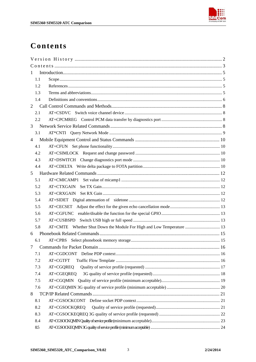

# <span id="page-3-0"></span>Contents

| 1                                                                            |  |  |  |
|------------------------------------------------------------------------------|--|--|--|
| 1.1                                                                          |  |  |  |
| 1.2                                                                          |  |  |  |
| 1.3                                                                          |  |  |  |
| 1.4                                                                          |  |  |  |
| 2                                                                            |  |  |  |
| 2.1                                                                          |  |  |  |
| 2.2                                                                          |  |  |  |
| 3                                                                            |  |  |  |
| 3.1                                                                          |  |  |  |
| 4                                                                            |  |  |  |
| 4.1                                                                          |  |  |  |
| 4.2                                                                          |  |  |  |
| 4.3                                                                          |  |  |  |
| 4.4                                                                          |  |  |  |
| 5                                                                            |  |  |  |
| 5.1                                                                          |  |  |  |
| 5.2                                                                          |  |  |  |
| 5.3<br>AT+CRXGAIN                                                            |  |  |  |
| 5.4                                                                          |  |  |  |
| 5.5                                                                          |  |  |  |
| AT+CGFUNC<br>5.6                                                             |  |  |  |
| 5.7                                                                          |  |  |  |
| AT+CMTE Whether Shut Down the Module For High and Low Temperature  13<br>5.8 |  |  |  |
| 6                                                                            |  |  |  |
| 6.1                                                                          |  |  |  |
| $7\overline{ }$                                                              |  |  |  |
| 7.1<br>AT+CGDCONT                                                            |  |  |  |
| 7.2<br>AT+CGTFT                                                              |  |  |  |
| 7.3<br>AT+CGQREQ                                                             |  |  |  |
| 7.4<br>AT+CGEQREQ                                                            |  |  |  |
| 7.5<br>AT+CGQMIN                                                             |  |  |  |
| 7.6                                                                          |  |  |  |
| 8                                                                            |  |  |  |
| 8.1                                                                          |  |  |  |
| 8.2<br>AT+CGSOCKQREQ                                                         |  |  |  |
| 8.3                                                                          |  |  |  |
| 8.4                                                                          |  |  |  |
| 8.5                                                                          |  |  |  |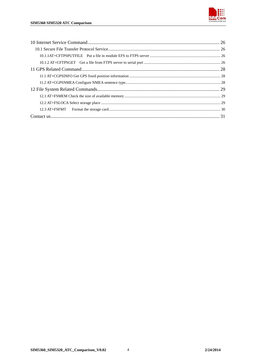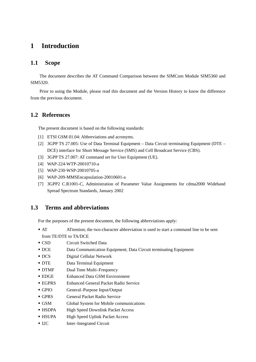## <span id="page-5-0"></span>**1 Introduction**

#### **1.1 Scope**

The document describes the AT Command Comparison between the SIMCom Module SIM5360 and SIM5320.

Prior to using the Module, please read this document and the [Version History](#page-2-0) to know the difference from the previous document.

#### **1.2 References**

The present document is based on the following standards:

- [1] ETSI GSM 01.04: Abbreviations and acronyms.
- [2] 3GPP TS 27.005: Use of Data Terminal Equipment Data Circuit terminating Equipment (DTE DCE) interface for Short Message Service (SMS) and Cell Broadcast Service (CBS).
- [3] 3GPP TS 27.007: AT command set for User Equipment (UE).
- [4] WAP-224-WTP-20010710-a
- [5] WAP-230-WSP-20010705-a
- [6] WAP-209-MMSEncapsulation-20010601-a
- [7] 3GPP2 C.R1001-C, Administration of Parameter Value Assignments for cdma2000 Wideband Spread Spectrum Standards, January 2002

#### **1.3 Terms and abbreviations**

For the purposes of the present document, the following abbreviations apply:

- AT ATtention; the two-character abbreviation is used to start a command line to be sent from TE/DTE to TA/DCE
- CSD Circuit Switched Data
- DCE Data Communication Equipment; Data Circuit terminating Equipment
- DCS Digital Cellular Network
- **DTE** Data Terminal Equipment
- DTMF Dual Tone Multi–Frequency
- EDGE Enhanced Data GSM Environment
- EGPRS Enhanced General Packet Radio Service
- GPIO General–Purpose Input/Output
- GPRS General Packet Radio Service
- GSM Global System for Mobile communications
- HSDPA High Speed Downlink Packet Access
- HSUPA High Speed Uplink Packet Access
- I2C Inter–Integrated Circuit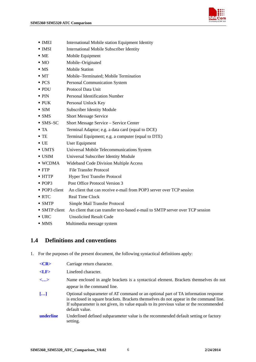

- <span id="page-6-0"></span>**IMEI** International Mobile station Equipment Identity
- **IMSI** International Mobile Subscriber Identity
- ME Mobile Equipment
- MO Mobile–Originated
- MS Mobile Station
- MT Mobile–Terminated: Mobile Termination
- **PCS** Personal Communication System
- PDU Protocol Data Unit
- PIN Personal Identification Number
- PUK Personal Unlock Key
- SIM Subscriber Identity Module
- **SMS** Short Message Service
- SMS–SC Short Message Service Service Center
- TA Terminal Adaptor; e.g. a data card (equal to DCE)
- TE Terminal Equipment; e.g. a computer (equal to DTE)
- UE User Equipment
- UMTS Universal Mobile Telecommunications System
- USIM Universal Subscriber Identity Module
- WCDMA Wideband Code Division Multiple Access
- FTP File Transfer Protocol
- HTTP Hyper Text Transfer Protocol
- **POP3** Post Office Protocol Version 3
- POP3 client An client that can receive e-mail from POP3 server over TCP session
- RTC Real Time Clock
- **SMTP** Simple Mail Transfer Protocol
- SMTP client An client that can transfer text-based e-mail to SMTP server over TCP session
- URC Unsolicited Result Code
- MMS Multimedia message system

#### **1.4 Definitions and conventions**

1. For the purposes of the present document, the following syntactical definitions apply:

| $<$ CR>                  | Carriage return character.                                                                                                                                                                                                                                                                |
|--------------------------|-------------------------------------------------------------------------------------------------------------------------------------------------------------------------------------------------------------------------------------------------------------------------------------------|
| $<$ LF $>$               | Linefeed character.                                                                                                                                                                                                                                                                       |
| $\langle \ldots \rangle$ | Name enclosed in angle brackets is a syntactical element. Brackets themselves do not<br>appear in the command line.                                                                                                                                                                       |
| $\left[\ldots\right]$    | Optional subparameter of AT command or an optional part of TA information response<br>is enclosed in square brackets. Brackets themselves do not appear in the command line.<br>If subparameter is not given, its value equals to its previous value or the recommended<br>default value. |
| underline                | Underlined defined subparameter value is the recommended default setting or factory<br>setting.                                                                                                                                                                                           |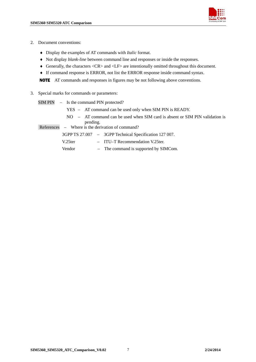- 2. Document conventions:
	- ♦ Display the examples of AT commands with *Italic* format.
	- ♦ Not display *blank-line* between command line and responses or inside the responses.
	- ♦ Generally, the characters <CR> and <LF> are intentionally omitted throughout this document.
	- ♦ If command response is ERROR, not list the ERROR response inside command syntax.

NOTE AT commands and responses in figures may be not following above conventions.

3. Special marks for commands or parameters:

|            | $SIM PIN - Is the command PIN protected?$                |  |                                                                                |
|------------|----------------------------------------------------------|--|--------------------------------------------------------------------------------|
|            | YES – AT command can be used only when SIM PIN is READY. |  |                                                                                |
|            | pending.                                                 |  | $NO - AT$ command can be used when SIM card is absent or SIM PIN validation is |
| References |                                                          |  | - Where is the derivation of command?                                          |
|            |                                                          |  | 3GPP TS 27.007 - 3GPP Technical Specification 127 007.                         |
|            | V.25ter                                                  |  | $-$ ITU–T Recommendation V.25 ter.                                             |
|            | Vendor                                                   |  | - The command is supported by SIMCom.                                          |
|            |                                                          |  |                                                                                |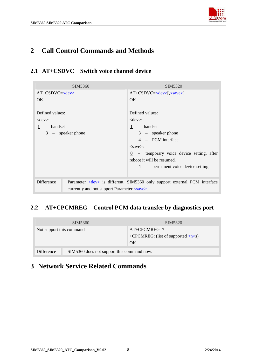

# <span id="page-8-0"></span>**2 Call Control Commands and Methods**

## **2.1 AT+CSDVC Switch voice channel device**

| SIM5360                    |                                                    | <b>SIM5320</b>                                                                  |
|----------------------------|----------------------------------------------------|---------------------------------------------------------------------------------|
| $AT+CSDVC=$                |                                                    | $AT+CSDVC=[, ]$                                                                 |
| OK.                        |                                                    | OK.                                                                             |
| Defined values:            |                                                    | Defined values:                                                                 |
|                            |                                                    |                                                                                 |
| $<$ dev $>$ :              |                                                    | $<$ dev $>$ :                                                                   |
| - handset                  |                                                    | $1 -$ handset                                                                   |
| $3 - \text{speaker phone}$ |                                                    | $3 - \text{speaker phone}$                                                      |
|                            |                                                    | 4 – PCM interface                                                               |
|                            |                                                    | $<$ save $>$ :                                                                  |
|                            |                                                    | $\frac{0}{0}$ – temporary voice device setting, after                           |
|                            |                                                    | reboot it will be resumed.                                                      |
|                            |                                                    | 1 – permanent voice device setting.                                             |
|                            |                                                    |                                                                                 |
| <b>Difference</b>          | currently and not support Parameter <save>.</save> | Parameter <dev> is different, SIM5360 only support external PCM interface</dev> |

## **2.2 AT+CPCMREG Control PCM data transfer by diagnostics port**

| SIM <sub>5360</sub>                                      | SIM <sub>5320</sub>                                 |
|----------------------------------------------------------|-----------------------------------------------------|
| Not support this command                                 | $AT+CPCMREG=?$                                      |
|                                                          | +CPCMREG: (list of supported $\langle n \rangle$ s) |
|                                                          | OK                                                  |
| SIM5360 does not support this command now.<br>Difference |                                                     |

# **3 Network Service Related Commands**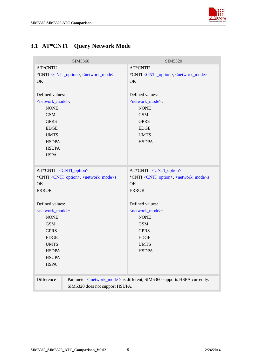

# <span id="page-9-0"></span>**3.1 AT\*CNTI Query Network Mode**

| SIM5360                                                            | SIM5320                                                                   |
|--------------------------------------------------------------------|---------------------------------------------------------------------------|
| AT*CNTI?                                                           | AT*CNTI?                                                                  |
| *CNTI: <cnti_option>, <network_mode></network_mode></cnti_option>  | *CNTI: <cnti_option>, <network_mode></network_mode></cnti_option>         |
| OK                                                                 | OK                                                                        |
|                                                                    |                                                                           |
| Defined values:                                                    | Defined values:                                                           |
| <network_mode>:</network_mode>                                     | <network mode="">:</network>                                              |
| <b>NONE</b>                                                        | <b>NONE</b>                                                               |
| <b>GSM</b>                                                         | <b>GSM</b>                                                                |
| <b>GPRS</b>                                                        | <b>GPRS</b>                                                               |
| <b>EDGE</b>                                                        | <b>EDGE</b>                                                               |
| <b>UMTS</b>                                                        | <b>UMTS</b>                                                               |
| <b>HSDPA</b>                                                       | <b>HSDPA</b>                                                              |
| <b>HSUPA</b>                                                       |                                                                           |
| <b>HSPA</b>                                                        |                                                                           |
|                                                                    |                                                                           |
| AT*CNTI =< CNTI_option>                                            | $AT*CNTI = CNTI_option>$                                                  |
| *CNTI: <cnti_option>, <network_mode>s</network_mode></cnti_option> | *CNTI: <cnti_option>, <network_mode>s</network_mode></cnti_option>        |
| OK                                                                 | OK                                                                        |
| <b>ERROR</b>                                                       | <b>ERROR</b>                                                              |
|                                                                    |                                                                           |
| Defined values:                                                    | Defined values:                                                           |
| <network_mode>:</network_mode>                                     | <network_mode>:</network_mode>                                            |
| <b>NONE</b>                                                        | <b>NONE</b>                                                               |
| <b>GSM</b>                                                         | <b>GSM</b>                                                                |
| <b>GPRS</b>                                                        | <b>GPRS</b>                                                               |
| <b>EDGE</b>                                                        | <b>EDGE</b>                                                               |
| <b>UMTS</b>                                                        | <b>UMTS</b>                                                               |
| <b>HSDPA</b>                                                       | <b>HSDPA</b>                                                              |
| <b>HSUPA</b>                                                       |                                                                           |
| <b>HSPA</b>                                                        |                                                                           |
|                                                                    |                                                                           |
| Difference                                                         | Parameter < network_mode > is different, SIM5360 supports HSPA currently. |
| SIM5320 does not support HSUPA.                                    |                                                                           |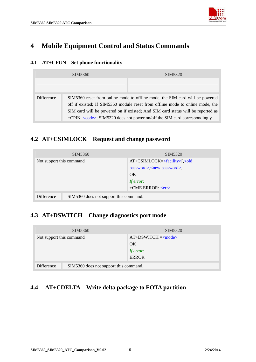

# <span id="page-10-0"></span>**4 Mobile Equipment Control and Status Commands**

#### **4.1 AT+CFUN Set phone functionality**

|            | SIM5360                                                                      | SIM <sub>5320</sub>                                                              |
|------------|------------------------------------------------------------------------------|----------------------------------------------------------------------------------|
|            |                                                                              |                                                                                  |
|            |                                                                              |                                                                                  |
| Difference | SIM5360 reset from online mode to offline mode, the SIM card will be powered |                                                                                  |
|            |                                                                              | off if existed; If SIM5360 module reset from offline mode to online mode, the    |
|            |                                                                              | SIM card will be powered on if existed; And SIM card status will be reported as  |
|            |                                                                              | +CPIN: <code>; SIM5320 does not power on/off the SIM card correspondingly</code> |

## **4.2 AT+CSIMLOCK Request and change password**

| SIM5360                                              | SIM5320                          |
|------------------------------------------------------|----------------------------------|
| Not support this command                             | $AT+CSIMLOCK=[,password>,]$      |
|                                                      | OK                               |
|                                                      | If error:                        |
|                                                      | $+$ CME ERROR: $\langle$ err $>$ |
| SIM5360 does not support this command.<br>Difference |                                  |

## **4.3 AT+DSWITCH Change diagnostics port mode**

| SIM5360                                              | SIM <sub>5320</sub> |
|------------------------------------------------------|---------------------|
| Not support this command                             | $AT+DSWITCH = mode$ |
|                                                      | OK                  |
|                                                      | If error:           |
|                                                      | <b>ERROR</b>        |
| SIM5360 does not support this command.<br>Difference |                     |

## **4.4 AT+CDELTA Write delta package to FOTA partition**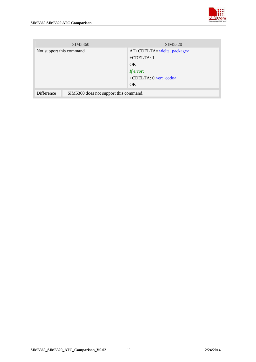| SIM5360                                              | SIM <sub>5320</sub>               |
|------------------------------------------------------|-----------------------------------|
| Not support this command                             | $AT+CDELTA=delta package>$        |
|                                                      | $+CDELTA:1$                       |
|                                                      | OK.                               |
|                                                      | If error:                         |
|                                                      | +CDELTA: 0, <err_code></err_code> |
|                                                      | OK                                |
| SIM5360 does not support this command.<br>Difference |                                   |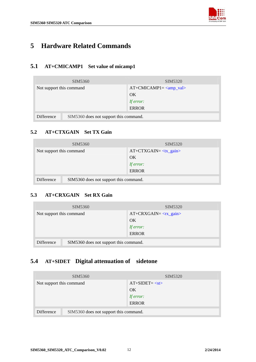

# <span id="page-12-0"></span>**5 Hardware Related Commands**

## **5.1 AT+CMICAMP1 Set value of micamp1**

| SIM <sub>5360</sub>                                  | SIM <sub>5320</sub> |
|------------------------------------------------------|---------------------|
| Not support this command                             | $AT+CMICAMP1=$      |
|                                                      | OK                  |
|                                                      | If error:           |
|                                                      | <b>ERROR</b>        |
| SIM5360 does not support this command.<br>Difference |                     |

#### **5.2 AT+CTXGAIN Set TX Gain**

| SIM <sub>5360</sub>                                  | SIM <sub>5320</sub> |
|------------------------------------------------------|---------------------|
| Not support this command                             | $AT+CTXGAN= $       |
|                                                      | OK                  |
|                                                      | If error:           |
|                                                      | <b>ERROR</b>        |
| SIM5360 does not support this command.<br>Difference |                     |

#### **5.3 AT+CRXGAIN Set RX Gain**

|                                                      | SIM5360 | SIM5320        |
|------------------------------------------------------|---------|----------------|
| Not support this command                             |         | $AT+CRXGAN = $ |
|                                                      |         | OK             |
|                                                      |         | If error:      |
|                                                      |         | <b>ERROR</b>   |
|                                                      |         |                |
| SIM5360 does not support this command.<br>Difference |         |                |

## **5.4 AT+SIDET Digital attenuation of sidetone**

| SIM <sub>5360</sub>                                  | SIM <sub>5320</sub> |
|------------------------------------------------------|---------------------|
| Not support this command                             | $AT+SIDET = $       |
|                                                      | OK                  |
|                                                      | If error:           |
|                                                      | <b>ERROR</b>        |
| SIM5360 does not support this command.<br>Difference |                     |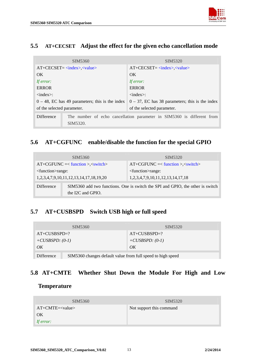

#### <span id="page-13-0"></span>**5.5 AT+CECSET Adjust the effect for the given echo cancellation mode**

| SIM5360                                                                                          | SIM5320                                                    |  |
|--------------------------------------------------------------------------------------------------|------------------------------------------------------------|--|
| $AT+CECSET = \langle index \rangle, \langle value \rangle$                                       | $AT+CECSET = \langle index \rangle, \langle value \rangle$ |  |
| OK.                                                                                              | OK.                                                        |  |
| If error:                                                                                        | If error:                                                  |  |
| <b>ERROR</b>                                                                                     | <b>ERROR</b>                                               |  |
| $\langle$ index $\rangle$ :                                                                      | $\langle$ index $\rangle$ :                                |  |
| $0 - 48$ , EC has 49 parameters; this is the index                                               | $0 - 37$ , EC has 38 parameters; this is the index         |  |
| of the selected parameter.                                                                       | of the selected parameter.                                 |  |
| Difference<br>The number of echo cancellation parameter in SIM5360 is different from<br>SIM5320. |                                                            |  |

## **5.6 AT+CGFUNC enable/disable the function for the special GPIO**

| SIM5360                                              |                                                                                                     | SIM <sub>5320</sub>                           |
|------------------------------------------------------|-----------------------------------------------------------------------------------------------------|-----------------------------------------------|
| $AT+CGFUNC \leq <$ function >, $\lt$ switch>         |                                                                                                     | $AT+CGFUNC = <$ function >, $\langle$ switch> |
| <function>range:</function>                          |                                                                                                     | <function>range:</function>                   |
| 1, 2, 3, 4, 7, 9, 10, 11, 12, 13, 14, 17, 18, 19, 20 |                                                                                                     | 1, 2, 3, 4, 7, 9, 10, 11, 12, 13, 14, 17, 18  |
| Difference                                           | SIM5360 add two functions. One is switch the SPI and GPIO, the other is switch<br>the I2C and GPIO. |                                               |

## **5.7 AT+CUSBSPD Switch USB high or full speed**

|                    | SIM5360                                                     | SIM5320            |
|--------------------|-------------------------------------------------------------|--------------------|
| $AT+CUSBSPD=?$     |                                                             | $AT+CUSBSPD=?$     |
| $+CUSBSPD$ : (0-1) |                                                             | $+CUSBSPD$ : (0-1) |
| OK                 |                                                             | OK                 |
| Difference         | SIM5360 changes default value from full speed to high speed |                    |

## **5.8 AT+CMTE Whether Shut Down the Module For High and Low**

#### **Temperature**

| SIM5360    | SIM5320                  |
|------------|--------------------------|
| $AT+CMTE=$ | Not support this command |
| OK         |                          |
| If error:  |                          |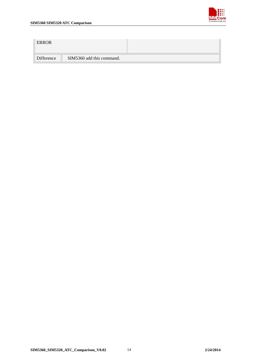

| <b>ERROR</b> |                           |  |
|--------------|---------------------------|--|
| Difference   | SIM5360 add this command. |  |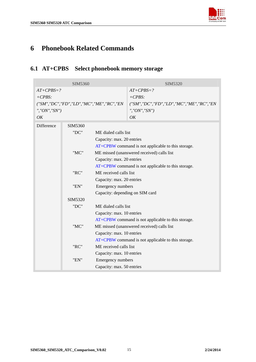

# <span id="page-15-0"></span>**6 Phonebook Related Commands**

## **6.1 AT+CPBS Select phonebook memory storage**

| SIM5360                 |                                         |                                                | SIM5320                                                                  |
|-------------------------|-----------------------------------------|------------------------------------------------|--------------------------------------------------------------------------|
| $AT+CPBS=?$<br>$+CPBS:$ |                                         |                                                | $AT+CPBS=?$<br>$+CPBS:$                                                  |
| ", " $ON$ ", " $SN$ ")  |                                         | ("SM", "DC", "FD", "LD", "MC", "ME", "RC", "EN | ("SM", "DC", "FD", "LD", "MC", "ME", "RC", "EN<br>", " $ON$ ", " $SN$ ") |
| OK                      |                                         |                                                | OK                                                                       |
| Difference              | SIM5360                                 |                                                |                                                                          |
|                         | "DC"                                    | ME dialed calls list                           |                                                                          |
|                         |                                         | Capacity: max. 20 entries                      |                                                                          |
|                         |                                         |                                                | AT+CPBW command is not applicable to this storage.                       |
|                         | "MC"                                    |                                                | ME missed (unanswered received) calls list                               |
|                         |                                         | Capacity: max. 20 entries                      |                                                                          |
|                         |                                         |                                                | AT+CPBW command is not applicable to this storage.                       |
|                         | "RC"                                    | ME received calls list                         |                                                                          |
|                         |                                         | Capacity: max. 20 entries                      |                                                                          |
|                         | "EN"                                    | <b>Emergency numbers</b>                       |                                                                          |
|                         |                                         | Capacity: depending on SIM card                |                                                                          |
|                         | SIM5320<br>"DC"<br>ME dialed calls list |                                                |                                                                          |
|                         |                                         |                                                |                                                                          |
|                         |                                         | Capacity: max. 10 entries                      |                                                                          |
|                         |                                         |                                                | AT+CPBW command is not applicable to this storage.                       |
|                         | "MC"                                    |                                                | ME missed (unanswered received) calls list                               |
|                         |                                         | Capacity: max. 10 entries                      |                                                                          |
|                         |                                         |                                                | AT+CPBW command is not applicable to this storage.                       |
|                         | "RC"                                    | ME received calls list                         |                                                                          |
|                         |                                         | Capacity: max. 10 entries                      |                                                                          |
|                         | "EN"                                    | Emergency numbers                              |                                                                          |
|                         |                                         | Capacity: max. 50 entries                      |                                                                          |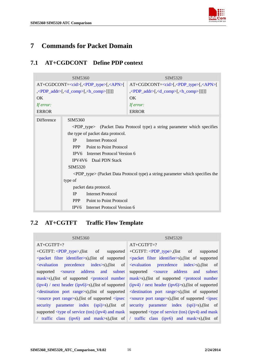

## <span id="page-16-0"></span>**7 Commands for Packet Domain**

#### **7.1 AT+CGDCONT Define PDP context**

| SIM5360                                                             |                                                                                                                                                                                                                                                                                                                                                                          | SIM5320                                                                                                                                                                                                                                                                                                       |
|---------------------------------------------------------------------|--------------------------------------------------------------------------------------------------------------------------------------------------------------------------------------------------------------------------------------------------------------------------------------------------------------------------------------------------------------------------|---------------------------------------------------------------------------------------------------------------------------------------------------------------------------------------------------------------------------------------------------------------------------------------------------------------|
| $AT+CGDCONT=[,\langle PDP_type>[,\langle APR]\rangle]$<br><b>OK</b> |                                                                                                                                                                                                                                                                                                                                                                          | $AT+CGDCONT=[$ , <pdp_type>[, <apn>[<br/>\\, \\left\\, \cd\, \cd\, \cd\, \cd\, \cd\, \cd\, \cd\, \cd\, \cd\, \cd\, \cd\, \cd\, \cd\, \cd\, \cd\, \cd\, \cd\, \cd\, \cd\, \cd\, \cd\, \cd\, \cd\, \cd\, \cd\, \cd\, \cd\, \cd\, \cd\, \cd\, \cd\, \cd\, \cd\, \cd\, \cd\<br/>OK<br/>If error:</apn></pdp_type> |
| If error:<br><b>ERROR</b>                                           |                                                                                                                                                                                                                                                                                                                                                                          | <b>ERROR</b>                                                                                                                                                                                                                                                                                                  |
| Difference                                                          | SIM5360<br>the type of packet data protocol.<br>IP<br><b>Internet Protocol</b><br>Point to Point Protocol<br><b>PPP</b><br>IPV6 Internet Protocol Version 6<br>IPV4V6 Dual PDN Stack<br>SIM5320<br>type of<br>packet data protocol.<br><b>Internet Protocol</b><br><b>IP</b><br><b>PPP</b><br>Point to Point Protocol<br>Internet Protocol Version 6<br>IPV <sub>6</sub> | <pdp_type> (Packet Data Protocol type) a string parameter which specifies<br/><pdp_type> (Packet Data Protocol type) a string parameter which specifies the</pdp_type></pdp_type>                                                                                                                             |

## **7.2 AT+CGTFT Traffic Flow Template**

#### SIM5360 SIM5320

#### AT+CGTFT=? +CGTFT: <PDP\_type>,(list of supported <packet filter identifier>s),(list of supported <evaluation precedence index>s),(list of supported <source address and subnet  $mask>s$ ),(list of supported  $\le$ protocol number (ipv4) / next header (ipv6)>s),(list of supported <destination port range>s),(list of supported <source port range>s),(list of supported <ipsec security parameter index (spi)>s),(list of supported <type of service (tos) (ipv4) and mask / traffic class (ipv6) and mask>s),(list of AT+CGTFT=? +CGTFT: <PDP\_type>,(list of supported <packet filter identifier>s),(list of supported <evaluation precedence index>s),(list of supported <source address and subnet  $mask>s$ ),(list of supported  $\le$ protocol number (ipv4) / next header (ipv6)>s),(list of supported <destination port range>s),(list of supported <source port range>s),(list of supported <ipsec security parameter index (spi)>s),(list of supported <type of service (tos) (ipv4) and mask / traffic class (ipv6) and mask>s),(list of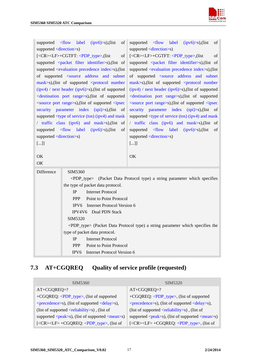

<span id="page-17-0"></span>

| $\langle$ flow<br>label<br>$(ipv6)$ >s),(list<br>of<br>supported<br>supported <direction>s)</direction>                                                                  |                                                                                                                                                                             | supported <flow<br>label<br/>of<br/><math>(ipv6)</math>&gt;s),(list<br/>supported <direction>s)</direction></flow<br> |
|--------------------------------------------------------------------------------------------------------------------------------------------------------------------------|-----------------------------------------------------------------------------------------------------------------------------------------------------------------------------|-----------------------------------------------------------------------------------------------------------------------|
|                                                                                                                                                                          | [ <cr><lf>+CGTFT: <pdp_type>,(list<br/>οf</pdp_type></lf></cr>                                                                                                              | [ <cr><lf>+CGTFT: <pdp_type>,(list<br/>of</pdp_type></lf></cr>                                                        |
|                                                                                                                                                                          | supported <packet filter="" identifier="">s), (list of</packet>                                                                                                             | supported <packet filter="" identifier="">s), (list of</packet>                                                       |
|                                                                                                                                                                          | supported <evaluation index="" precedence="">s),(list</evaluation>                                                                                                          | supported <evaluation index="" precedence="">s),(list</evaluation>                                                    |
|                                                                                                                                                                          | of supported <source address="" and="" subnet<="" td=""/> <td>of supported <source address="" and="" subnet<="" td=""/></td>                                                | of supported <source address="" and="" subnet<="" td=""/>                                                             |
|                                                                                                                                                                          | mask>s),(list of supported <protocol number<="" td=""><td>mask&gt;s),(list of supported <protocol number<="" td=""></protocol></td></protocol>                              | mask>s),(list of supported <protocol number<="" td=""></protocol>                                                     |
|                                                                                                                                                                          |                                                                                                                                                                             |                                                                                                                       |
|                                                                                                                                                                          | $(ipy4)$ / next header $(ipy6)$ >s), (list of supported                                                                                                                     | $(ipv4)$ / next header $(ipv6)$ >s),(list of supported                                                                |
|                                                                                                                                                                          | <destination port="" range="">s), (list of supported</destination>                                                                                                          | <destination port="" range="">s), (list of supported</destination>                                                    |
|                                                                                                                                                                          | <source port="" range=""/> s),(list of supported <ipsec< td=""><td><source port="" range=""/>s),(list of supported <ipsec< td=""></ipsec<></td></ipsec<>                    | <source port="" range=""/> s),(list of supported <ipsec< td=""></ipsec<>                                              |
|                                                                                                                                                                          | security parameter index $(spi)$ ) $\geq$ s), (list<br>- of                                                                                                                 | security parameter index (spi)>s),(list<br>of                                                                         |
|                                                                                                                                                                          | supported <type (ipv4)="" (tos)="" and="" mask<="" of="" service="" td=""><td>supported <type (ipv4)="" (tos)="" and="" mask<="" of="" service="" td=""></type></td></type> | supported <type (ipv4)="" (tos)="" and="" mask<="" of="" service="" td=""></type>                                     |
| / traffic class (ipv6) and mask>s), (list of                                                                                                                             |                                                                                                                                                                             | / traffic class (ipv6) and mask>s), (list of                                                                          |
| supported <flow label<="" td=""><td><math>(ipv6)</math>&gt;s),(list<br/>of</td><td>supported <flow label<br=""><math>(ipv6)</math>&gt;s),(list<br/>of</flow></td></flow> | $(ipv6)$ >s),(list<br>of                                                                                                                                                    | supported <flow label<br=""><math>(ipv6)</math>&gt;s),(list<br/>of</flow>                                             |
| supported <direction>s)</direction>                                                                                                                                      |                                                                                                                                                                             | supported <direction>s)</direction>                                                                                   |
| $[]]$                                                                                                                                                                    |                                                                                                                                                                             | $[]]$                                                                                                                 |
|                                                                                                                                                                          |                                                                                                                                                                             |                                                                                                                       |
| OK                                                                                                                                                                       |                                                                                                                                                                             | OK                                                                                                                    |
| OK                                                                                                                                                                       |                                                                                                                                                                             |                                                                                                                       |
| Difference                                                                                                                                                               | SIM5360                                                                                                                                                                     |                                                                                                                       |
|                                                                                                                                                                          |                                                                                                                                                                             | <pdp_type> (Packet Data Protocol type) a string parameter which specifies</pdp_type>                                  |
|                                                                                                                                                                          | the type of packet data protocol.                                                                                                                                           |                                                                                                                       |
|                                                                                                                                                                          | <b>IP</b><br><b>Internet Protocol</b>                                                                                                                                       |                                                                                                                       |
|                                                                                                                                                                          | Point to Point Protocol<br><b>PPP</b>                                                                                                                                       |                                                                                                                       |
|                                                                                                                                                                          | Internet Protocol Version 6<br>IPV <sub>6</sub>                                                                                                                             |                                                                                                                       |
|                                                                                                                                                                          | IPV4V6 Dual PDN Stack                                                                                                                                                       |                                                                                                                       |
|                                                                                                                                                                          | SIM5320                                                                                                                                                                     |                                                                                                                       |
|                                                                                                                                                                          |                                                                                                                                                                             | <pdp_type> (Packet Data Protocol type) a string parameter which specifies the</pdp_type>                              |
| type of packet data protocol.                                                                                                                                            |                                                                                                                                                                             |                                                                                                                       |
|                                                                                                                                                                          | <b>Internet Protocol</b><br><b>IP</b>                                                                                                                                       |                                                                                                                       |
|                                                                                                                                                                          | Point to Point Protocol<br><b>PPP</b>                                                                                                                                       |                                                                                                                       |
|                                                                                                                                                                          | <b>Internet Protocol Version 6</b><br>IPV <sub>6</sub>                                                                                                                      |                                                                                                                       |

# **7.3 AT+CGQREQ Quality of service profile (requested)**

| SIM5360                                                                         | SIM <sub>5320</sub>                                                             |
|---------------------------------------------------------------------------------|---------------------------------------------------------------------------------|
| $AT+CGQREQ=?$                                                                   | $AT+CGQREQ=?$                                                                   |
| +CGQREQ: <pdp_type>, (list of supported</pdp_type>                              | +CGQREQ: <pdp_type>, (list of supported</pdp_type>                              |
| $\leq$ precedence $\geq$ s), (list of supported $\leq$ delay $\geq$ s),         | $\leq$ precedence>s), (list of supported $\leq$ delay>s),                       |
| (list of supported $\langle$ reliability>s), (list of                           | (list of supported $\langle$ reliability>s), (list of                           |
| supported $\langle peak\rangle$ s), (list of supported $\langle mean\rangle$ s) | supported $\langle peak\rangle$ s), (list of supported $\langle mean\rangle$ s) |
| $[<\!\>CR\!\!>\!\!LE\!\!>+CGQREG: <\!\!PDP_type\!\!>$ , (list of                | [ <cr><lf> +CGQREQ: <pdp_type>, (list of</pdp_type></lf></cr>                   |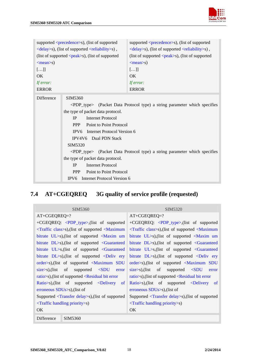

<span id="page-18-0"></span>

| supported <precedence>s), (list of supported</precedence>            |                                                                                                                                                                                                                                                                                                                                                                                                                                                                                                                             | supported <precedence>s), (list of supported</precedence>            |
|----------------------------------------------------------------------|-----------------------------------------------------------------------------------------------------------------------------------------------------------------------------------------------------------------------------------------------------------------------------------------------------------------------------------------------------------------------------------------------------------------------------------------------------------------------------------------------------------------------------|----------------------------------------------------------------------|
| <delay>s), (list of supported <reliability>s),</reliability></delay> |                                                                                                                                                                                                                                                                                                                                                                                                                                                                                                                             | <delay>s), (list of supported <reliability>s),</reliability></delay> |
|                                                                      | (list of supported $\langle peak\rangle$ s), (list of supported                                                                                                                                                                                                                                                                                                                                                                                                                                                             | (list of supported $\langle peak\rangle$ s), (list of supported      |
| $<$ mean $>$ s)                                                      |                                                                                                                                                                                                                                                                                                                                                                                                                                                                                                                             | $<$ mean $>$ s)                                                      |
| []]                                                                  |                                                                                                                                                                                                                                                                                                                                                                                                                                                                                                                             | []                                                                   |
| <b>OK</b>                                                            |                                                                                                                                                                                                                                                                                                                                                                                                                                                                                                                             | OK                                                                   |
| If error:                                                            |                                                                                                                                                                                                                                                                                                                                                                                                                                                                                                                             | If error:                                                            |
| <b>ERROR</b>                                                         |                                                                                                                                                                                                                                                                                                                                                                                                                                                                                                                             | <b>ERROR</b>                                                         |
| <b>Difference</b>                                                    | SIM5360<br><pdp_type> (Packet Data Protocol type) a string parameter which specifies<br/>the type of packet data protocol.<br/>Internet Protocol<br/><b>IP</b><br/><b>PPP</b><br/>Point to Point Protocol<br/>IPV6 Internet Protocol Version 6<br/><b>IPV4V6</b> Dual PDN Stack<br/>SIM5320<br/><pdp_type> (Packet Data Protocol type) a string parameter which specifies<br/>the type of packet data protocol.<br/><b>Internet Protocol</b><br/><b>IP</b><br/>Point to Point Protocol<br/><b>PPP</b></pdp_type></pdp_type> |                                                                      |

# **7.4 AT+CGEQREQ 3G quality of service profile (requested)**

| <b>SIM5360</b>                                                                                                                                     | SIM <sub>5320</sub>                                                                    |
|----------------------------------------------------------------------------------------------------------------------------------------------------|----------------------------------------------------------------------------------------|
| $AT+CGEQREQ=?$                                                                                                                                     | $AT+CGEQREQ=?$                                                                         |
| +CGEQREQ: <pdp_type>,(list of supported</pdp_type>                                                                                                 | +CGEQREQ: <pdp_type>,(list of supported</pdp_type>                                     |
| $\langle$ Traffic class>s), (list of supported $\langle$ Maximum                                                                                   | $\langle$ Traffic class>s), (list of supported $\langle$ Maximum                       |
| bitrate $UL>s$ ), (list of supported $\langle$ Maxim um                                                                                            | bitrate $UL>s$ ), (list of supported $\langle$ Maxim um                                |
| bitrate $DL>s$ ), (list of supported $\leq$ Guaranteed                                                                                             | bitrate DL>s), (list of supported <guaranteed< td=""></guaranteed<>                    |
| bitrate $UL>s,(list of supported Cluaranteed)$                                                                                                     | bitrate $UL>s,(list of supported Cluaranteed)$                                         |
| bitrate $DL > s$ ), (list of supported $\le$ Deliv ery                                                                                             | bitrate $DL > s$ ), (list of supported $\le$ Deliv ery                                 |
| order>s), (list of supported <maximum sdu<="" td=""><td>order&gt;s), (list of supported <maximum sdu<="" td=""></maximum></td></maximum>           | order>s), (list of supported <maximum sdu<="" td=""></maximum>                         |
| supported <sdu error<br=""><math>\text{size}\geq\text{s}</math>), (list of</sdu>                                                                   | $\frac{\text{size}}{\text{}}\text{si}$ are significant of supported $\text{SDU}$ error |
| ratio $\gg$ s), (list of supported $\ll$ Residual bit error                                                                                        | ratio $\gg$ ), (list of supported $\ll$ Residual bit error                             |
| Ratio >s), (list of supported <delivery of<="" td=""><td><math>Ratio &gt; s</math>, (list of supported <math>\le</math>Delivery of</td></delivery> | $Ratio > s$ , (list of supported $\le$ Delivery of                                     |
| erroneous $SDUs>s$ ), (list of                                                                                                                     | erroneous $SDUs > s$ ), (list of                                                       |
| Supported $\langle$ Transfer delay>s), (list of supported                                                                                          | Supported <transfer delay="">s), (list of supported</transfer>                         |
| $\langle$ Traffic handling priority $\langle$ s)                                                                                                   | $\langle$ Traffic handling priority $\langle$ s)                                       |
| OK.                                                                                                                                                | OK                                                                                     |
| Difference<br>SIM5360                                                                                                                              |                                                                                        |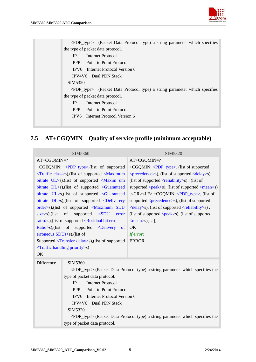

<span id="page-19-0"></span>

| <pdp_type> (Packet Data Protocol type) a string parameter which specifies</pdp_type> |
|--------------------------------------------------------------------------------------|
| the type of packet data protocol.                                                    |
| <b>IP</b><br>Internet Protocol                                                       |
| <b>PPP</b><br>Point to Point Protocol                                                |
| IPV6 Internet Protocol Version 6                                                     |
| <b>IPV4V6</b> Dual PDN Stack                                                         |
| SIM5320                                                                              |
| <pdp_type> (Packet Data Protocol type) a string parameter which specifies</pdp_type> |
| the type of packet data protocol.                                                    |
| Internet Protocol<br><b>IP</b>                                                       |
| PPP<br>Point to Point Protocol                                                       |
| IPV6 Internet Protocol Version 6                                                     |
|                                                                                      |

## **7.5 AT+CGQMIN Quality of service profile (minimum acceptable)**

| SIM5360                                                       |                                                                                                                                                                                 | SIM5320                                                                                  |
|---------------------------------------------------------------|---------------------------------------------------------------------------------------------------------------------------------------------------------------------------------|------------------------------------------------------------------------------------------|
| AT+CGQMIN=?                                                   |                                                                                                                                                                                 | $AT+CGQMIN=?$                                                                            |
| +CGEQMIN: <pdp_type>,(list of supported</pdp_type>            |                                                                                                                                                                                 | +CGQMIN: <pdp_type>, (list of supported</pdp_type>                                       |
|                                                               | <traffic class="">s),(list of supported <maximum< td=""><td><precedence>s), (list of supported <delay>s),</delay></precedence></td></maximum<></traffic>                        | <precedence>s), (list of supported <delay>s),</delay></precedence>                       |
|                                                               | bitrate UL>s), (list of supported <maxim td="" um<=""><td>(list of supported <math>\langle</math>reliability&gt;s), (list of</td></maxim>                                       | (list of supported $\langle$ reliability>s), (list of                                    |
|                                                               | bitrate DL>s), (list of supported <guaranteed< td=""><td>supported <math>\langle peak\rangle</math>s), (list of supported <math>\langle mean\rangle</math>s)</td></guaranteed<> | supported $\langle peak\rangle$ s), (list of supported $\langle mean\rangle$ s)          |
|                                                               | bitrate $UL>s,(list of supported Cluaranteed)$                                                                                                                                  | $[\langle CR \rangle \langle LF \rangle + CGQMIN: \langle PDP_t \rangle]$ (list of       |
|                                                               | bitrate $DL>s$ ), (list of supported $\le$ Deliv ery                                                                                                                            | supported <precedence>s), (list of supported</precedence>                                |
|                                                               | order>s),(list of supported <maximum sdu<="" td=""><td><delay>s), (list of supported <reliability>s),</reliability></delay></td></maximum>                                      | <delay>s), (list of supported <reliability>s),</reliability></delay>                     |
| $\text{size}\text{>s}$ ), (list                               | <sub>of</sub><br>supported $\langle SDU \rangle$<br>error                                                                                                                       | (list of supported <peak>s), (list of supported</peak>                                   |
|                                                               | ratio>s), (list of supported <residual bit="" error<="" td=""><td><math>\leq</math>mean&gt;s<math>[]</math></td></residual>                                                     | $\leq$ mean>s $[]$                                                                       |
|                                                               | $Ratio > s$ , (list of supported $\le$ Delivery<br>of                                                                                                                           | OK                                                                                       |
| erroneous SDUs>s), (list of                                   |                                                                                                                                                                                 | If error:                                                                                |
| Supported <transfer delay="">s),(list of supported</transfer> |                                                                                                                                                                                 | <b>ERROR</b>                                                                             |
| $\langle$ Traffic handling priority $\langle$ s)              |                                                                                                                                                                                 |                                                                                          |
| OK                                                            |                                                                                                                                                                                 |                                                                                          |
| Difference                                                    | SIM5360                                                                                                                                                                         |                                                                                          |
|                                                               |                                                                                                                                                                                 | <pdp_type> (Packet Data Protocol type) a string parameter which specifies the</pdp_type> |
|                                                               | type of packet data protocol.                                                                                                                                                   |                                                                                          |
|                                                               | IP<br><b>Internet Protocol</b>                                                                                                                                                  |                                                                                          |
|                                                               | <b>PPP</b><br>Point to Point Protocol                                                                                                                                           |                                                                                          |
|                                                               | Internet Protocol Version 6<br>IPV <sub>6</sub>                                                                                                                                 |                                                                                          |
|                                                               | Dual PDN Stack<br>IPV4V6                                                                                                                                                        |                                                                                          |
|                                                               | SIM5320                                                                                                                                                                         |                                                                                          |
|                                                               | <pdp_type> (Packet Data Protocol type) a string parameter which specifies the</pdp_type>                                                                                        |                                                                                          |
|                                                               | type of packet data protocol.                                                                                                                                                   |                                                                                          |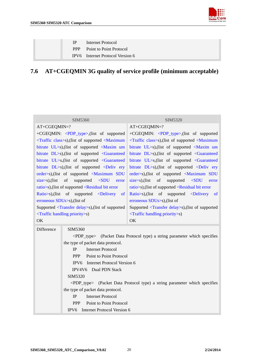

<span id="page-20-0"></span>

| $\mathbf{P}$ | Internet Protocol                  |
|--------------|------------------------------------|
|              | <b>PPP</b> Point to Point Protocol |
|              | IPV6 Internet Protocol Version 6   |

# **7.6 AT+CGEQMIN 3G quality of service profile (minimum acceptable)**

| SIM5360                            |                                                                                                                                                                     | SIM5320                                                                              |  |
|------------------------------------|---------------------------------------------------------------------------------------------------------------------------------------------------------------------|--------------------------------------------------------------------------------------|--|
| AT+CGEQMIN=?                       |                                                                                                                                                                     | AT+CGEQMIN=?                                                                         |  |
|                                    | +CGEQMIN: <pdp_type>,(list of supported</pdp_type>                                                                                                                  | +CGEQMIN: <pdp_type>,(list of supported</pdp_type>                                   |  |
|                                    | <traffic class="">s),(list of supported <maximum< td=""><td><traffic class="">s),(list of supported <maximum< td=""></maximum<></traffic></td></maximum<></traffic> | <traffic class="">s),(list of supported <maximum< td=""></maximum<></traffic>        |  |
|                                    | bitrate UL>s), (list of supported <maxim td="" um<=""><td>bitrate UL&gt;s), (list of supported <maxim td="" um<=""></maxim></td></maxim>                            | bitrate UL>s), (list of supported <maxim td="" um<=""></maxim>                       |  |
|                                    | bitrate DL>s), (list of supported <guaranteed< td=""><td>bitrate DL&gt;s), (list of supported <guaranteed< td=""></guaranteed<></td></guaranteed<>                  | bitrate DL>s), (list of supported <guaranteed< td=""></guaranteed<>                  |  |
|                                    | bitrate UL>s, (list of supported <guaranteed< td=""><td>bitrate UL&gt;s, (list of supported <guaranteed< td=""></guaranteed<></td></guaranteed<>                    | bitrate UL>s, (list of supported <guaranteed< td=""></guaranteed<>                   |  |
|                                    | bitrate $DL>s$ ), (list of supported $\le$ Deliv ery                                                                                                                | bitrate $DL>s$ ), (list of supported $\le$ Deliv ery                                 |  |
|                                    | order>s),(list of supported <maximum sdu<="" td=""><td>order&gt;s),(list of supported <maximum sdu<="" td=""></maximum></td></maximum>                              | order>s),(list of supported <maximum sdu<="" td=""></maximum>                        |  |
| $\text{size}\geq\text{s}$ ), (list | of<br>supported <sdu<br>error</sdu<br>                                                                                                                              | $\text{size}\text{>s}$ ), (list<br>of<br>supported <sdu<br>error</sdu<br>            |  |
|                                    | ratio>s), (list of supported <residual bit="" error<="" td=""><td>ratio&gt;s),(list of supported <residual bit="" error<="" td=""></residual></td></residual>       | ratio>s),(list of supported <residual bit="" error<="" td=""></residual>             |  |
|                                    | Ratio >s), (list of supported <delivery of<="" td=""><td>Ratio&gt;s),(list of supported <delivery of<="" td=""></delivery></td></delivery>                          | Ratio>s),(list of supported <delivery of<="" td=""></delivery>                       |  |
| erroneous $SDUs > s$ ), (list of   |                                                                                                                                                                     | erroneous SDUs>s), (list of                                                          |  |
|                                    | Supported <transfer delay="">s),(list of supported</transfer>                                                                                                       | Supported <transfer delay="">s),(list of supported</transfer>                        |  |
|                                    | $\langle$ Traffic handling priority $\langle$ s)                                                                                                                    | $\langle$ Traffic handling priority>s)                                               |  |
| OK                                 |                                                                                                                                                                     | OK                                                                                   |  |
| Difference                         | SIM5360                                                                                                                                                             |                                                                                      |  |
|                                    |                                                                                                                                                                     | <pdp_type> (Packet Data Protocol type) a string parameter which specifies</pdp_type> |  |
|                                    | the type of packet data protocol.                                                                                                                                   |                                                                                      |  |
|                                    | <b>Internet Protocol</b><br><b>IP</b>                                                                                                                               |                                                                                      |  |
|                                    | Point to Point Protocol<br><b>PPP</b>                                                                                                                               |                                                                                      |  |
|                                    | Internet Protocol Version 6<br>IPV <sub>6</sub>                                                                                                                     |                                                                                      |  |
|                                    | IPV4V6 Dual PDN Stack                                                                                                                                               |                                                                                      |  |
|                                    | SIM5320                                                                                                                                                             |                                                                                      |  |
|                                    | <pdp_type> (Packet Data Protocol type) a string parameter which specifies</pdp_type>                                                                                |                                                                                      |  |
|                                    | the type of packet data protocol.                                                                                                                                   |                                                                                      |  |
|                                    | <b>Internet Protocol</b><br>IP                                                                                                                                      |                                                                                      |  |
|                                    | Point to Point Protocol<br><b>PPP</b>                                                                                                                               |                                                                                      |  |
|                                    | IPV6 Internet Protocol Version 6                                                                                                                                    |                                                                                      |  |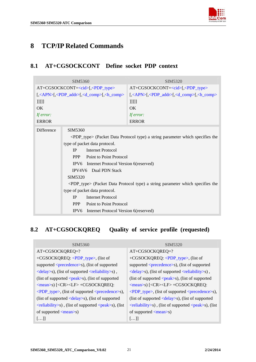

## <span id="page-21-0"></span>**8 TCP/IP Related Commands**

## **8.1 AT+CGSOCKCONT Define socket PDP context**

| SIM5360            |                                                                                          | SIM5320                                                                                                                                                                                    |  |
|--------------------|------------------------------------------------------------------------------------------|--------------------------------------------------------------------------------------------------------------------------------------------------------------------------------------------|--|
| $AT+CGSOCKCONT=[,$ |                                                                                          | $AT+CGSOCKCONT=[$ , $\langle PDP_type\rangle$                                                                                                                                              |  |
|                    | [, <apn>[,<pdp_addr>[,<d_comp>[,<h_comp></h_comp></d_comp></pdp_addr></apn>              | $\left[ \langle \langle \mathsf{APN} \rangle \langle \langle \mathsf{PDP\_addr} \rangle \langle \langle \mathsf{d\_comp} \rangle \langle \langle \mathsf{h\_comp} \rangle \rangle \right]$ |  |
| 11111              |                                                                                          | ]]]]]                                                                                                                                                                                      |  |
| <b>OK</b>          |                                                                                          | $\overline{OK}$                                                                                                                                                                            |  |
| If error:          |                                                                                          | If error:                                                                                                                                                                                  |  |
| <b>ERROR</b>       |                                                                                          | <b>ERROR</b>                                                                                                                                                                               |  |
| Difference         | SIM5360                                                                                  |                                                                                                                                                                                            |  |
|                    | <pdp_type> (Packet Data Protocol type) a string parameter which specifies the</pdp_type> |                                                                                                                                                                                            |  |
|                    | type of packet data protocol.                                                            |                                                                                                                                                                                            |  |
|                    | <b>Internet Protocol</b><br><b>IP</b>                                                    |                                                                                                                                                                                            |  |
|                    | Point to Point Protocol<br><b>PPP</b>                                                    |                                                                                                                                                                                            |  |
|                    | IPV6 Internet Protocol Version 6(reserved)                                               |                                                                                                                                                                                            |  |
|                    | Dual PDN Stack<br>IPV4V6                                                                 |                                                                                                                                                                                            |  |
|                    | SIM5320                                                                                  |                                                                                                                                                                                            |  |
|                    | <pdp_type> (Packet Data Protocol type) a string parameter which specifies the</pdp_type> |                                                                                                                                                                                            |  |
|                    | type of packet data protocol.                                                            |                                                                                                                                                                                            |  |
|                    | <b>Internet Protocol</b><br><b>IP</b>                                                    |                                                                                                                                                                                            |  |
|                    | <b>PPP</b><br>Point to Point Protocol                                                    |                                                                                                                                                                                            |  |
|                    | IPV6 Internet Protocol Version 6(reserved)                                               |                                                                                                                                                                                            |  |

## **8.2 AT+CGSOCKQREQ Quality of service profile (requested)**

| SIM <sub>5360</sub>                                                                                        | SIM <sub>5320</sub>                                                                                        |
|------------------------------------------------------------------------------------------------------------|------------------------------------------------------------------------------------------------------------|
| AT+CGSOCKQREQ=?                                                                                            | AT+CGSOCKQREQ=?                                                                                            |
| +CGSOCKQREQ: <pdp_type>, (list of</pdp_type>                                                               | +CGSOCKQREQ: <pdp_type>, (list of</pdp_type>                                                               |
| supported <precedence>s), (list of supported</precedence>                                                  | supported <precedence>s), (list of supported</precedence>                                                  |
| $\le$ delay>s), (list of supported $\le$ reliability>s),                                                   | <delay>s), (list of supported <reliability>s),</reliability></delay>                                       |
| (list of supported $\langle peak\rangle$ s), (list of supported                                            | (list of supported $\langle peak\rangle$ s), (list of supported                                            |
| $\langle \text{mean}\rangle$ s) $[\langle \text{CR}\rangle \langle \text{LF}\rangle + \text{CGSOCKQRED}$ : | $\langle \text{mean}\rangle$ s) $[\langle \text{CR}\rangle \langle \text{LF}\rangle + \text{CGSOCKQRED}$ : |
| $\langle PDP_{type}\rangle$ , (list of supported $\langle precedence\rangle_s$ ),                          | $\langle PDP_{type} \rangle$ , (list of supported $\langle precedence \rangle$ s),                         |
| (list of supported $\langle$ delay>s), (list of supported                                                  | (list of supported $\langle$ delay>s), (list of supported                                                  |
| $\leq$ reliability>s), (list of supported $\leq$ peak>s), (list                                            | $\leq$ reliability>s), (list of supported $\leq$ peak>s), (list                                            |
| of supported $\langle mean \rangle$ s)                                                                     | of supported $\langle mean \rangle$ s)                                                                     |
| $[\ldots]$                                                                                                 | $[\ldots]$                                                                                                 |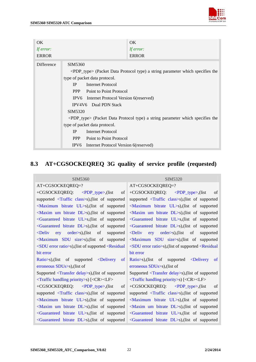

<span id="page-22-0"></span>

| OK.<br>If error:<br><b>ERROR</b> |                                                                                                                                                                                                                                                                                                                                                                                | OK.<br>If error:<br><b>ERROR</b>                                                                                                                                                      |
|----------------------------------|--------------------------------------------------------------------------------------------------------------------------------------------------------------------------------------------------------------------------------------------------------------------------------------------------------------------------------------------------------------------------------|---------------------------------------------------------------------------------------------------------------------------------------------------------------------------------------|
| <b>Difference</b>                | SIM5360<br>type of packet data protocol.<br><b>Internet Protocol</b><br>IP<br>Point to Point Protocol<br>PPP<br>Internet Protocol Version 6(reserved)<br>IPV <sub>6</sub><br><b>IPV4V6</b> Dual PDN Stack<br>SIM5320<br>type of packet data protocol.<br><b>Internet Protocol</b><br><b>IP</b><br>Point to Point Protocol<br>PPP<br>IPV6 Internet Protocol Version 6(reserved) | <pdp_type> (Packet Data Protocol type) a string parameter which specifies the<br/><pdp_type> (Packet Data Protocol type) a string parameter which specifies the</pdp_type></pdp_type> |

# **8.3 AT+CGSOCKEQREQ 3G quality of service profile (requested)**

| SIM5360                                                                                                                                                                                              | SIM5320                                                                       |
|------------------------------------------------------------------------------------------------------------------------------------------------------------------------------------------------------|-------------------------------------------------------------------------------|
| AT+CGSOCKEQREQ=?                                                                                                                                                                                     | AT+CGSOCKEQREQ=?                                                              |
| +CGSOCKEQREQ: <pdp_type>,(list of</pdp_type>                                                                                                                                                         | +CGSOCKEQREQ: $\langle PDP_{type}\rangle$ , (list<br>$\alpha$                 |
| supported <traffic class="">s), (list of supported</traffic>                                                                                                                                         | supported <traffic class="">s),(list of supported</traffic>                   |
| <maximum bitrate="" ul="">s), (list of supported</maximum>                                                                                                                                           | <maximum bitrate="" ul="">s), (list of supported</maximum>                    |
| $\le$ Maxim um bitrate DL $\ge$ s), (list of supported                                                                                                                                               | <maxim bitrate="" dl="" um="">s), (list of supported</maxim>                  |
| <guaranteed bitrate="" ul="">s, (list of supported</guaranteed>                                                                                                                                      | <guaranteed bitrate="" ul="">s, (list of supported</guaranteed>               |
| $\le$ Guaranteed bitrate DL $\ge$ s), (list of supported                                                                                                                                             | <guaranteed bitrate="" dl="">s), (list of supported</guaranteed>              |
| $\frac{1}{2}$ order>s), (list of<br>$\triangle$ Deliv<br>supported                                                                                                                                   | $\frac{1}{2}$ order>s), (list of<br>$\triangle$ Deliv<br>supported            |
| <maximum sdu="" size="">s),(list of supported</maximum>                                                                                                                                              | <maximum sdu="" size="">s),(list of supported</maximum>                       |
| <sdu error="" ratio="">s), (list of supported <residual< td=""><td><math>\langle</math>SDU error ratio<math>\rangle</math>s), (list of supported <math>\langle</math>Residual</td></residual<></sdu> | $\langle$ SDU error ratio $\rangle$ s), (list of supported $\langle$ Residual |
| bit error                                                                                                                                                                                            | bit error                                                                     |
| Ratio>s), (list of supported <delivery<br><sub>of</sub></delivery<br>                                                                                                                                | Ratio>s), (list of supported <delivery<br><sub>of</sub></delivery<br>         |
| erroneous $SDUs > s$ ), (list of                                                                                                                                                                     | erroneous SDUs>s), (list of                                                   |
| Supported <transfer delay="">s),(list of supported</transfer>                                                                                                                                        | Supported <transfer delay="">s), (list of supported</transfer>                |
| <traffic handling="" priority="">s) [<cr><lf></lf></cr></traffic>                                                                                                                                    | <traffic handling="" priority="">s) [<cr><lf></lf></cr></traffic>             |
| $+CGSOCKEQREQ: \langle PDP_type \rangle$<br>of                                                                                                                                                       | $+CGSOCKEQREQ: \quad \langle PDP_type\rangle,$ (list<br>of                    |
| supported <traffic class="">s), (list of supported</traffic>                                                                                                                                         | supported <traffic class="">s),(list of supported</traffic>                   |
| $\le$ Maximum bitrate UL $\ge$ s), (list of supported                                                                                                                                                | $\le$ Maximum bitrate UL $\ge$ s), (list of supported                         |
| $\le$ Maxim um bitrate DL $\ge$ s), (list of supported                                                                                                                                               | <maxim bitrate="" dl="" um="">s), (list of supported</maxim>                  |
| <guaranteed bitrate="" ul="">s, (list of supported</guaranteed>                                                                                                                                      | <guaranteed bitrate="" ul="">s, (list of supported</guaranteed>               |
| $\le$ Guaranteed bitrate DL $\ge$ s), (list of supported                                                                                                                                             | <guaranteed bitrate="" dl="">s), (list of supported</guaranteed>              |
|                                                                                                                                                                                                      |                                                                               |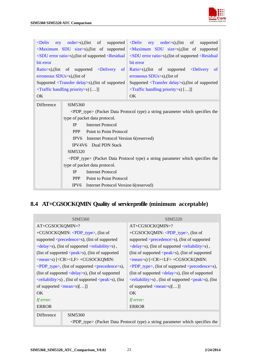<span id="page-23-0"></span>

| ery order>s),(list of supported <deliv ery="" order="">s),(list of<br/><math>\triangle</math>Deliv<br/><maximum sdu="" size="">s), (list of supported<br/>bit error<br/><math>Ratio &gt; s</math>, (list of supported <math>\le</math>Delivery<br/><sub>of</sub></maximum></deliv>                                                                                                                                                                                                                                                                                                                                | supported<br><maximum sdu="" size="">s), (list of supported<br/><sdu error="" ratio="">s),(list of supported <residual <sdu="" error="" ratio="">s),(list of supported <residual<br>bit error<br/><math>Ratio &gt; s</math>, (list of supported <math>\leq</math>Delivery<br/><sub>of</sub></residual<br></residual></sdu></maximum> |
|-------------------------------------------------------------------------------------------------------------------------------------------------------------------------------------------------------------------------------------------------------------------------------------------------------------------------------------------------------------------------------------------------------------------------------------------------------------------------------------------------------------------------------------------------------------------------------------------------------------------|--------------------------------------------------------------------------------------------------------------------------------------------------------------------------------------------------------------------------------------------------------------------------------------------------------------------------------------|
| erroneous $SDUs > s$ ), (list of                                                                                                                                                                                                                                                                                                                                                                                                                                                                                                                                                                                  | erroneous SDUs>s), (list of                                                                                                                                                                                                                                                                                                          |
| Supported <transfer delay="">s), (list of supported</transfer>                                                                                                                                                                                                                                                                                                                                                                                                                                                                                                                                                    | Supported <transfer delay="">s), (list of supported</transfer>                                                                                                                                                                                                                                                                       |
| <traffic handling="" priority="">s) []]</traffic>                                                                                                                                                                                                                                                                                                                                                                                                                                                                                                                                                                 | <traffic handling="" priority="">s) []]</traffic>                                                                                                                                                                                                                                                                                    |
| OK                                                                                                                                                                                                                                                                                                                                                                                                                                                                                                                                                                                                                | OK                                                                                                                                                                                                                                                                                                                                   |
| <b>Difference</b><br>SIM5360<br><pdp_type> (Packet Data Protocol type) a string parameter which specifies the<br/>type of packet data protocol.<br/><b>Internet Protocol</b><br/>IP<br/>Point to Point Protocol<br/><b>PPP</b><br/>IPV6 Internet Protocol Version 6(reserved)<br/>IPV4V6 Dual PDN Stack<br/>SIM5320<br/><pdp_type> (Packet Data Protocol type) a string parameter which specifies the<br/>type of packet data protocol.<br/><b>Internet Protocol</b><br/><b>IP</b><br/><b>PPP</b><br/>Point to Point Protocol<br/>IPV<sub>6</sub><br/>Internet Protocol Version 6(reserved)</pdp_type></pdp_type> |                                                                                                                                                                                                                                                                                                                                      |

## **8.4 AT+CGSOCKQMIN Quality of serviceprofile (minimum acceptable)**

| SIM5360                                                          |                                                                                          | SIM5320                                                                                                                      |
|------------------------------------------------------------------|------------------------------------------------------------------------------------------|------------------------------------------------------------------------------------------------------------------------------|
| AT+CGSOCKQMIN=?                                                  |                                                                                          | AT+CGSOCKQMIN=?                                                                                                              |
|                                                                  | +CGSOCKQMIN: <pdp_type>, (list of</pdp_type>                                             | +CGSOCKQMIN: <pdp_type>, (list of</pdp_type>                                                                                 |
|                                                                  | supported <precedence>s), (list of supported</precedence>                                | supported <precedence>s), (list of supported</precedence>                                                                    |
|                                                                  | $\langle$ delay>s), (list of supported $\langle$ reliability>s),                         | $\langle$ delay>s), (list of supported $\langle$ reliability>s),                                                             |
| (list of supported $\langle peak\rangle$ s), (list of supported  |                                                                                          | (list of supported $\langle peak\rangle$ s), (list of supported                                                              |
| <mean>s) [<cr><lf> +CGSOCKQMIN:</lf></cr></mean>                 |                                                                                          | $\langle \text{mean}\rangle$ s) [ $\langle \text{CR}\rangle$ $\langle \text{LF}\rangle$ + $\langle \text{CGSOCKQMIN}\rangle$ |
| $\langle$ PDP_type>, (list of supported $\langle$ precedence>s), |                                                                                          | $\langle$ PDP_type>, (list of supported $\langle$ precedence>s),                                                             |
| (list of supported $\langle$ delay>s), (list of supported        |                                                                                          | (list of supported $\langle$ delay>s), (list of supported                                                                    |
| $\le$ reliability>s), (list of supported $\le$ peak>s), (list    |                                                                                          | $\le$ reliability>s), (list of supported $\le$ peak>s), (list                                                                |
| of supported $\langle mean \rangle$ s $[]$                       |                                                                                          | of supported $\langle \text{mean}\rangle$ s $[]$                                                                             |
| OK.                                                              |                                                                                          | OK.                                                                                                                          |
| If error:                                                        |                                                                                          | If error:                                                                                                                    |
| <b>ERROR</b>                                                     |                                                                                          | <b>ERROR</b>                                                                                                                 |
| Difference                                                       | SIM5360                                                                                  |                                                                                                                              |
|                                                                  | <pdp_type> (Packet Data Protocol type) a string parameter which specifies the</pdp_type> |                                                                                                                              |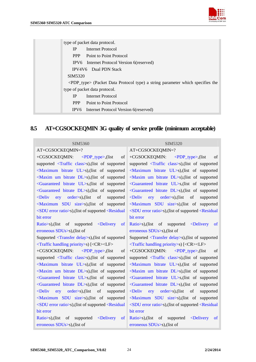

<span id="page-24-0"></span>

|                     | type of packet data protocol.                                                            |
|---------------------|------------------------------------------------------------------------------------------|
| <b>IP</b>           | Internet Protocol                                                                        |
| <b>PPP</b>          | Point to Point Protocol                                                                  |
|                     | IPV6 Internet Protocol Version 6(reserved)                                               |
|                     | <b>IPV4V6</b> Dual PDN Stack                                                             |
| SIM <sub>5320</sub> |                                                                                          |
|                     | <pdp_type> (Packet Data Protocol type) a string parameter which specifies the</pdp_type> |
|                     | type of packet data protocol.                                                            |
| IP.                 | Internet Protocol                                                                        |
| <b>PPP</b>          | Point to Point Protocol                                                                  |
|                     | IPV6 Internet Protocol Version 6(reserved)                                               |

## **8.5 AT+CGSOCKEQMIN 3G quality of service profile (minimum acceptable)**

| SIM5360                                                                                                                                                                                              | SIM5320                                                                           |
|------------------------------------------------------------------------------------------------------------------------------------------------------------------------------------------------------|-----------------------------------------------------------------------------------|
| AT+CGSOCKEQMIN=?                                                                                                                                                                                     | AT+CGSOCKEQMIN=?                                                                  |
| +CGSOCKEQMIN:<br>$\langle$ PDP_type>,(list<br>of                                                                                                                                                     | $\alpha$ f<br>+CGSOCKEQMIN: $\langle PDP_t ype \rangle$ , (list                   |
| supported <traffic class="">s), (list of supported</traffic>                                                                                                                                         | supported <traffic class="">s), (list of supported</traffic>                      |
| <maximum bitrate="" ul="">s), (list of supported</maximum>                                                                                                                                           | <maximum bitrate="" ul="">s), (list of supported</maximum>                        |
| <maxim bitrate="" dl="" um="">s), (list of supported</maxim>                                                                                                                                         | <maxim bitrate="" dl="" um="">s), (list of supported</maxim>                      |
| <guaranteed bitrate="" ul="">s, (list of supported</guaranteed>                                                                                                                                      | <guaranteed bitrate="" ul="">s, (list of supported</guaranteed>                   |
| <guaranteed bitrate="" dl="">s), (list of supported</guaranteed>                                                                                                                                     | <guaranteed bitrate="" dl="">s), (list of supported</guaranteed>                  |
| $\triangle$ Deliv<br>$\text{ery}$ order>s), (list of<br>supported                                                                                                                                    | $\triangle$ Deliv<br>$\frac{1}{2}$ order>s), (list of<br>supported                |
| <maximum sdu="" size="">s),(list of supported</maximum>                                                                                                                                              | <maximum sdu="" size="">s),(list of supported</maximum>                           |
| <sdu error="" ratio="">s), (list of supported <residual< td=""><td><math>\langle</math>SDU error ratio<math>\rangle</math>s), (list of supported <math>\langle</math>Residual</td></residual<></sdu> | $\langle$ SDU error ratio $\rangle$ s), (list of supported $\langle$ Residual     |
| bit error                                                                                                                                                                                            | bit error                                                                         |
| Ratio > s), (list of supported <delivery<br><sub>of</sub></delivery<br>                                                                                                                              | Ratio > s), (list of supported $\leq$ Delivery<br><sub>of</sub>                   |
| erroneous $SDUs > s$ ), (list of                                                                                                                                                                     | erroneous $SDUs > s$ ), (list of                                                  |
| Supported <transfer delay="">s),(list of supported</transfer>                                                                                                                                        | Supported <transfer delay="">s),(list of supported</transfer>                     |
| <traffic handling="" priority="">s) [<cr><lf></lf></cr></traffic>                                                                                                                                    | <traffic handling="" priority="">s) [<cr><lf></lf></cr></traffic>                 |
| +CGSOCKEQMIN: <pdp_type>,(list<br/>of</pdp_type>                                                                                                                                                     | +CGSOCKEQMIN: $\langle PDP_{type}\rangle$ , (list<br>of                           |
| supported <traffic class="">s), (list of supported</traffic>                                                                                                                                         | supported <traffic class="">s), (list of supported</traffic>                      |
| <maximum bitrate="" ul="">s), (list of supported</maximum>                                                                                                                                           | <maximum bitrate="" ul="">s), (list of supported</maximum>                        |
| <maxim bitrate="" dl="" um="">s), (list of supported</maxim>                                                                                                                                         | <maxim bitrate="" dl="" um="">s), (list of supported</maxim>                      |
| <guaranteed bitrate="" ul="">s, (list of supported</guaranteed>                                                                                                                                      | <guaranteed bitrate="" ul="">s, (list of supported</guaranteed>                   |
| <guaranteed bitrate="" dl="">s), (list of supported</guaranteed>                                                                                                                                     | <guaranteed bitrate="" dl="">s), (list of supported</guaranteed>                  |
| $\triangle$ Deliv<br>$\text{ery} \quad \text{order} > s$ , (list of<br>supported                                                                                                                     | $\triangle$ Deliv<br>$\frac{1}{2}$ order>s), (list<br>$\circ$ of<br>supported     |
| <maximum sdu="" size="">s), (list of supported</maximum>                                                                                                                                             | <maximum sdu="" size="">s),(list of supported</maximum>                           |
| <sdu error="" ratio="">s), (list of supported <residual< td=""><td><sdu error="" ratio="">s), (list of supported <residual< td=""></residual<></sdu></td></residual<></sdu>                          | <sdu error="" ratio="">s), (list of supported <residual< td=""></residual<></sdu> |
| bit error                                                                                                                                                                                            | bit error                                                                         |
| of supported <delivery<br><math>Ratio&gt;s)</math>, (list<br/><sub>of</sub></delivery<br>                                                                                                            | Ratio >s), (list of supported $\leq$ Delivery<br><sub>of</sub>                    |
| erroneous SDUs>s), (list of                                                                                                                                                                          | erroneous SDUs>s), (list of                                                       |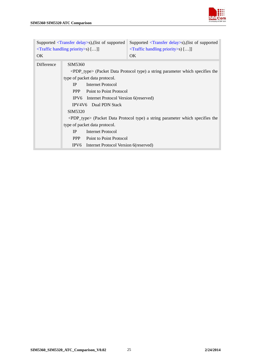

| Supported $\langle$ Transfer delay>s),(list of supported<br><traffic handling="" priority="">s) []]</traffic> |                                                                                |                                                                                                                                                                                                                                                                                              | Supported $\langle$ Transfer delay>s),(list of supported<br><traffic handling="" priority="">s) []]</traffic>                                                                         |
|---------------------------------------------------------------------------------------------------------------|--------------------------------------------------------------------------------|----------------------------------------------------------------------------------------------------------------------------------------------------------------------------------------------------------------------------------------------------------------------------------------------|---------------------------------------------------------------------------------------------------------------------------------------------------------------------------------------|
| OK.                                                                                                           |                                                                                |                                                                                                                                                                                                                                                                                              | OK.                                                                                                                                                                                   |
| Difference                                                                                                    | SIM5360<br>IP<br><b>PPP</b><br>SIM5320<br>IP<br><b>PPP</b><br>IPV <sub>6</sub> | type of packet data protocol.<br><b>Internet Protocol</b><br>Point to Point Protocol<br>IPV6 Internet Protocol Version 6(reserved)<br>IPV4V6 Dual PDN Stack<br>type of packet data protocol.<br><b>Internet Protocol</b><br>Point to Point Protocol<br>Internet Protocol Version 6(reserved) | <pdp_type> (Packet Data Protocol type) a string parameter which specifies the<br/><pdp_type> (Packet Data Protocol type) a string parameter which specifies the</pdp_type></pdp_type> |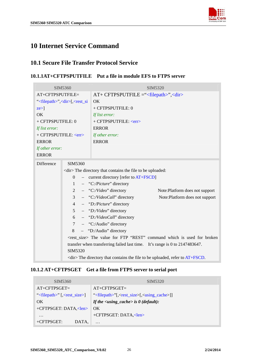

# <span id="page-26-0"></span>**10 Internet Service Command**

#### **10.1 Secure File Transfer Protocol Service**

#### **10.1.1AT+CFTPSPUTFILE Put a file in module EFS to FTPS server**

|                             | SIM5360                                                                                   | SIM5320                                                         |
|-----------------------------|-------------------------------------------------------------------------------------------|-----------------------------------------------------------------|
| AT+CFTPSPUTFILE=            |                                                                                           | AT+ CFTPSPUTFILE =" <filepath>",<dir></dir></filepath>          |
|                             | " <filepath>",<dir>[,<rest_si< td=""><td>OK</td></rest_si<></dir></filepath>              | OK                                                              |
| $ze >$ ]                    |                                                                                           | + CFTPSPUTFILE: 0                                               |
| OK                          |                                                                                           | If list error:                                                  |
| + CFTPSPUTFILE: 0           |                                                                                           | + CFTPSPUTFILE: <err></err>                                     |
| If list error:              |                                                                                           | <b>ERROR</b>                                                    |
| + CFTPSPUTFILE: <err></err> |                                                                                           | If other error:                                                 |
| <b>ERROR</b>                |                                                                                           | <b>ERROR</b>                                                    |
| If other error:             |                                                                                           |                                                                 |
| <b>ERROR</b>                |                                                                                           |                                                                 |
| Difference                  | SIM5360                                                                                   |                                                                 |
|                             | <dir>The directory that contains the file to be uploaded:</dir>                           |                                                                 |
|                             | $\Omega$<br>$-$ current directory [refer to $AT + FSCD$ ]                                 |                                                                 |
|                             | $-$ "C:/Picture" directory<br>$\mathbf{1}$                                                |                                                                 |
|                             | 2                                                                                         | $-$ "C:/Video" directory<br>Note: Platform does not support     |
|                             | $\overline{3}$                                                                            | $-$ "C:/VideoCall" directory<br>Note: Platform does not support |
|                             | $\overline{4}$                                                                            | $-$ "D:/Picture" directory                                      |
|                             | 5 <sup>5</sup>                                                                            | $-$ "D:/Video" directory                                        |
|                             | 6                                                                                         | - "D:/VideoCall" directory                                      |
|                             | $\tau$                                                                                    | $-$ "C:/Audio" directory                                        |
|                             | 8                                                                                         | - "D:/Audio" directory                                          |
|                             | <rest_size> The value for FTP "REST" command which is used for broken</rest_size>         |                                                                 |
|                             | transfer when transferring failed last time. It's range is 0 to 2147483647.               |                                                                 |
|                             | SIM5320                                                                                   |                                                                 |
|                             | $\langle$ dir>The directory that contains the file to be uploaded, refer to $AT + FSCD$ . |                                                                 |

#### **10.1.2 AT+CFTPSGET Get a file from FTPS server to serial port**

| SIM5360                                        | SIM <sub>5320</sub>                                                 |
|------------------------------------------------|---------------------------------------------------------------------|
| $AT+CFTPSGET=$                                 | $AT+CFTPSGET=$                                                      |
| " $\langle$ filepath>" [ $\langle$ rest_size>] | " $\le$ filepath>"[, $\le$ rest_size>[, $\le$ using_cache>]]        |
| OK                                             | If the $\langle \text{using } \text{cache} \rangle$ is 0 (default): |
| $+CFTPSGET: DATA, elen$ OK                     |                                                                     |
| $\cdot\cdot\cdot$                              | +CFTPSGET: DATA, <len></len>                                        |
| $+CFTPSGET:$<br>DATA.                          | $\cdot$                                                             |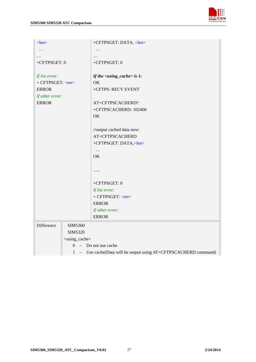

| $<$ len $>$             |                             | +CFTPSGET: DATA, <len></len>                                   |
|-------------------------|-----------------------------|----------------------------------------------------------------|
| .                       |                             | .                                                              |
|                         |                             | .                                                              |
| +CFTPSGET: 0            |                             | +CFTPSGET: 0                                                   |
|                         |                             |                                                                |
| If list error:          |                             | If the $\langle \text{using\_cache} \rangle$ is 1:             |
| + CFTPSGET: <err></err> |                             | OK                                                             |
| <b>ERROR</b>            |                             | +CFTPS: RECV EVENT                                             |
| If other error:         |                             |                                                                |
| <b>ERROR</b>            |                             | AT+CFTPSCACHERD?                                               |
|                         |                             | +CFTPSCACHERD: 102400                                          |
|                         |                             | OK                                                             |
|                         |                             |                                                                |
|                         |                             | //output cached data now:                                      |
|                         |                             | AT+CFTPSCACHERD                                                |
|                         |                             | +CFTPSGET: DATA, <len></len>                                   |
|                         |                             | $\ddots$                                                       |
|                         |                             | OK                                                             |
|                         |                             |                                                                |
|                         |                             | .                                                              |
|                         |                             |                                                                |
|                         |                             | +CFTPSGET: 0                                                   |
|                         |                             | If list error:                                                 |
|                         |                             | + CFTPSGET: <err></err>                                        |
|                         |                             | <b>ERROR</b>                                                   |
|                         |                             | If other error:                                                |
|                         |                             | <b>ERROR</b>                                                   |
| Difference              | SIM5360                     |                                                                |
|                         | SIM5320                     |                                                                |
|                         | <using_cache></using_cache> |                                                                |
|                         | $\Omega$                    | $-$ Do not use cache                                           |
|                         | $\mathbf{1}$                | - Use cache(Data will be output using AT+CFTPSCACHERD command) |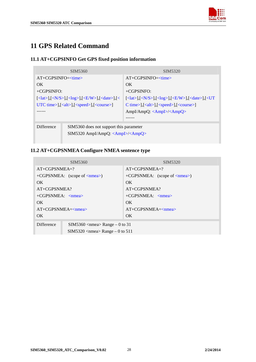

# <span id="page-28-0"></span>**11 GPS Related Command**

#### **11.1 AT+CGPSINFO Get GPS fixed position information**

| SIM5360                                                                                                                                                                     | SIM5320                                                                                                                                                                 |
|-----------------------------------------------------------------------------------------------------------------------------------------------------------------------------|-------------------------------------------------------------------------------------------------------------------------------------------------------------------------|
| $AT+CGPSINFO=$                                                                                                                                                              | $AT+CGPSINFO=\text{time}$                                                                                                                                               |
| OK.                                                                                                                                                                         | OK                                                                                                                                                                      |
| $+CGPSINFO:$                                                                                                                                                                | $+CGPSINFO:$                                                                                                                                                            |
| $[\langle \text{lat}\rangle], [\langle N/S\rangle], [\langle \text{log}\rangle], [\langle \text{E/W}\rangle], [\langle \text{date}\rangle], [\langle \text{angle}\rangle],$ | $[\langle \text{lat}\rangle], [\langle N/S\rangle], [\langle \text{log}\rangle], [\langle \text{E/W}\rangle], [\langle \text{date}\rangle], [\langle \text{UT}\rangle]$ |
| UTC time>],[ <alt>],[<speed>],[<course>]</course></speed></alt>                                                                                                             | $C \times \times$ ],[ <alt>],[<speed>],[<course>]</course></speed></alt>                                                                                                |
| .                                                                                                                                                                           | AmpI/AmpQ: <ampi>/<ampq></ampq></ampi>                                                                                                                                  |
|                                                                                                                                                                             | .                                                                                                                                                                       |
| Difference<br>SIM5360 does not support this parameter<br>$SIM5320$ AmpI/AmpQ: <ampi>/<ampq></ampq></ampi>                                                                   |                                                                                                                                                                         |

#### **11.2 AT+CGPSNMEA Configure NMEA sentence type**

|                                      | SIM5360                                  | SIM5320                               |
|--------------------------------------|------------------------------------------|---------------------------------------|
| $AT+CGPSNMEA=?$                      |                                          | $AT+CGPSNMEA=?$                       |
|                                      | $+CGPSNMEA:$ (scope of $\langle$ nmea>)  | +CGPSNMEA: (scope of $\langle$ nmea>) |
| OK.                                  |                                          | OK.                                   |
| $AT+CGPSNMEA?$                       |                                          | $AT+CGPSNMEA?$                        |
| $+CGPSNMEA$ : $\langle nmea \rangle$ |                                          | $+CGPSNMEA: \langle nmea \rangle$     |
| OK.                                  |                                          | OK.                                   |
| $AT+CGPSNMEA=<$ nmea>                |                                          | $AT+CGPSNMEA = < nmea$                |
| OK.                                  |                                          | OK.                                   |
| <b>Difference</b>                    | $SIM5360$ <nmea> Range – 0 to 31</nmea>  |                                       |
|                                      | $SIM5320$ <nmea> Range – 0 to 511</nmea> |                                       |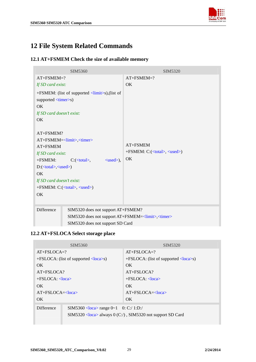

# <span id="page-29-0"></span>**12 File System Related Commands**

#### **12.1 AT+FSMEM Check the size of available memory**

| SIM5360                                                                                                                                                                                                                                                                                                                                                                                                                                                                      | SIM5320                                                                                                                                       |  |
|------------------------------------------------------------------------------------------------------------------------------------------------------------------------------------------------------------------------------------------------------------------------------------------------------------------------------------------------------------------------------------------------------------------------------------------------------------------------------|-----------------------------------------------------------------------------------------------------------------------------------------------|--|
| $AT+FSMEM=?$                                                                                                                                                                                                                                                                                                                                                                                                                                                                 | $AT+FSMEM=?$                                                                                                                                  |  |
| If SD card exist:                                                                                                                                                                                                                                                                                                                                                                                                                                                            | OK                                                                                                                                            |  |
| +FSMEM: (list of supported <limit>s),(list of<br/>supported <timer>s)<br/>OK.<br/>If SD card doesn't exist:<br/>OK<br/><math>AT + FSMEM?</math><br/>AT+FSMEM=<limit>,<timer><br/>AT+FSMEM<br/>If SD card exist:<br/>+FSMEM:<br/><math>C: (&lt;\theta</math>total&gt;,<br/><math>\langle used\rangle</math>,<br/>D:(<total>,<used>)<br/>OK<br/>If SD card doesn't exist:<br/>+FSMEM: C:(<total>, <used>)<br/>OK</used></total></used></total></timer></limit></timer></limit> | AT+FSMEM<br>$+FSMEM: C:(, )$<br>OK                                                                                                            |  |
| Difference                                                                                                                                                                                                                                                                                                                                                                                                                                                                   | SIM5320 does not support AT+FSMEM?<br>SIM5320 does not support AT+FSMEM= <limit>,<timer><br/>SIM5320 does not support SD Card</timer></limit> |  |

## **12.2 AT+FSLOCA Select storage place**

| SIM5360                                                                                                                          | SIM <sub>5320</sub>                                            |
|----------------------------------------------------------------------------------------------------------------------------------|----------------------------------------------------------------|
| $AT + FSLOCA = ?$                                                                                                                | $AT + FSI \cdot OCA = ?$                                       |
| $+FSLOCA$ : (list of supported $\langle \text{loca} \rangle$ s)                                                                  | $+$ FSLOCA: (list of supported $\langle \text{loca}\rangle$ s) |
| OK.                                                                                                                              | OK.                                                            |
| $AT + FSLOCA?$                                                                                                                   | $AT + FSLOCA?$                                                 |
| $+FSLOCA: <$ loca>                                                                                                               | $+FSLOCA: <$ loca>                                             |
| OK.                                                                                                                              | OK.                                                            |
| $AT + FSI \cdot OCA = loca$                                                                                                      | $AT + FSI \cdot OCA = loca$                                    |
| OK.                                                                                                                              | OK                                                             |
| Difference<br>SIM5360 <loca> range 0~1 0: C:/ 1:D:/<br/>SIM5320 <loca> always 0 (C:/), SIM5320 not support SD Card</loca></loca> |                                                                |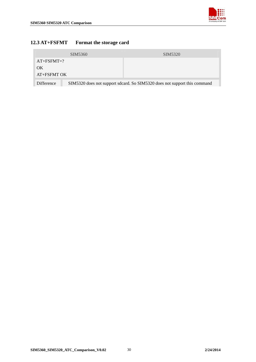

#### <span id="page-30-0"></span>**12.3 AT+FSFMT Format the storage card**

|              | SIM <sub>5360</sub>                                                       | SIM5320 |
|--------------|---------------------------------------------------------------------------|---------|
| $AT+FSFMT=?$ |                                                                           |         |
| OK           |                                                                           |         |
| AT+FSFMT OK  |                                                                           |         |
| Difference   | SIM5320 does not support sdcard. So SIM5320 does not support this command |         |